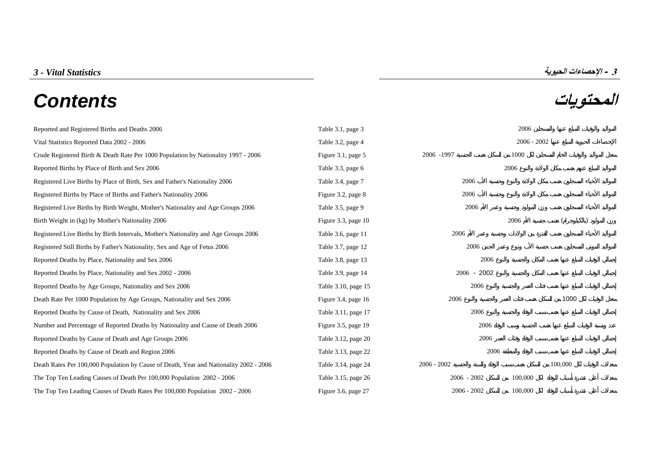## **المحتويات** *Contents*



| Reported and Registered Births and Deaths 2006                                         | Table 3.1, page 3   |               | 2006          |         |  |  |  |
|----------------------------------------------------------------------------------------|---------------------|---------------|---------------|---------|--|--|--|
| Vital Statistics Reported Data 2002 - 2006                                             | Table 3.2, page 4   |               | $2006 - 2002$ |         |  |  |  |
| Crude Registered Birth & Death Rate Per 1000 Population by Nationality 1997 - 2006     | Figure 3.1, page 5  | 2006 -1997    | 1000          |         |  |  |  |
| Reported Births by Place of Birth and Sex 2006                                         | Table 3.3, page 6   |               | 2006          |         |  |  |  |
| Registered Live Births by Place of Birth, Sex and Father's Nationality 2006            | Table 3.4, page 7   | 2006          |               |         |  |  |  |
| Registered Births by Place of Births and Father's Nationality 2006                     | Figure 3.2, page 8  | 2006          |               |         |  |  |  |
| Registered Live Births by Birth Weight, Mother's Nationality and Age Groups 2006       | Table 3.5, page 9   | 2006          |               |         |  |  |  |
| Birth Weight in (kg) by Mother's Nationality 2006                                      | Figure 3.3, page 10 |               | 2006          |         |  |  |  |
| Registered Live Births by Birth Intervals, Mother's Nationality and Age Groups 2006    | Table 3.6, page 11  | 2006          |               |         |  |  |  |
| Registered Still Births by Father's Nationality, Sex and Age of Fetus 2006             | Table 3.7, page 12  | 2006          |               |         |  |  |  |
| Reported Deaths by Place, Nationality and Sex 2006                                     | Table 3.8, page 13  | 2006          |               |         |  |  |  |
| Reported Deaths by Place, Nationality and Sex 2002 - 2006                              | Table 3.9, page 14  | $2006 - 2002$ |               |         |  |  |  |
| Reported Deaths by Age Groups, Nationality and Sex 2006                                | Table 3.10, page 15 | 2006          |               |         |  |  |  |
| Death Rate Per 1000 Population by Age Groups, Nationality and Sex 2006                 | Figure 3.4, page 16 | 2006          |               | 1000    |  |  |  |
| Reported Deaths by Cause of Death, Nationality and Sex 2006                            | Table 3.11, page 17 | 2006          |               |         |  |  |  |
| Number and Percentage of Reported Deaths by Nationality and Cause of Death 2006        | Figure 3.5, page 19 | 2006          |               |         |  |  |  |
| Reported Deaths by Cause of Death and Age Groups 2006                                  | Table 3.12, page 20 | 2006          |               |         |  |  |  |
| Reported Deaths by Cause of Death and Region 2006                                      | Table 3.13, page 22 | 2006          |               |         |  |  |  |
| Death Rates Per 100,000 Population by Cause of Death, Year and Nationality 2002 - 2006 | Table 3.14, page 24 | $2006 - 2002$ |               | 100,000 |  |  |  |
| The Top Ten Leading Causes of Death Per 100,000 Population 2002 - 2006                 | Table 3.15, page 26 | $2006 - 2002$ | 100,000       |         |  |  |  |
| The Top Ten Leading Causes of Death Rates Per 100,000 Population 2002 - 2006           | Figure 3.6, page 27 | $2006 - 2002$ | 100,000       |         |  |  |  |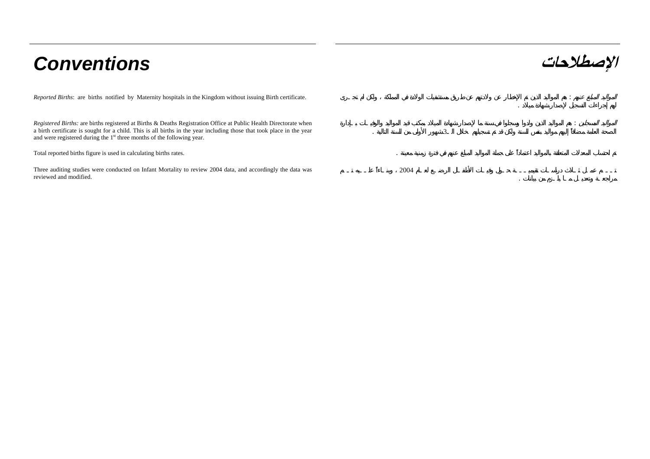# **الإصطلاحات** *Conventions*

:

*Reported Births*: are births notified by Maternity hospitals in the Kingdom without issuing Birth certificate. :

*Registered Births:* are births registered at Births & Deaths Registration Office at Public Health Directorate when a birth certificate is sought for a child. This is all births in the year including those that took place in the year and were registered during the 1<sup>st</sup> three months of the following year.

Total reported births figure is used in calculating births rates. .

Three auditing studies were conducted on Infant Mortality to review 2004 data, and accordingly the data was reviewed and modified.

2004

 $\sim$  3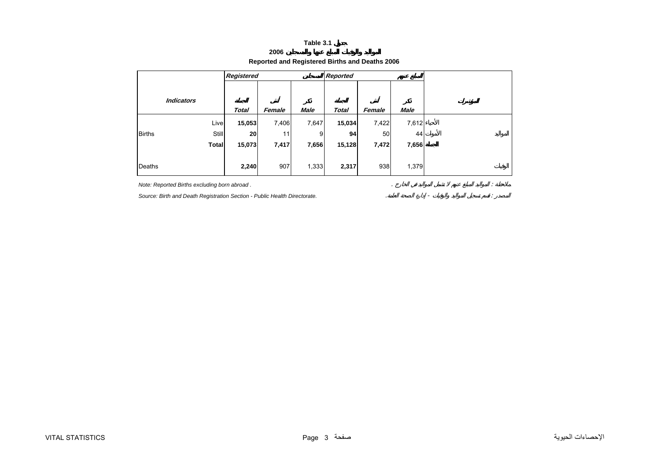## **2006**

## **Reported and Registered Births and Deaths 2006**

<span id="page-2-0"></span>

|               |                   | Registered   |        |             | Reported     |        |             |  |  |  |  |
|---------------|-------------------|--------------|--------|-------------|--------------|--------|-------------|--|--|--|--|
|               |                   |              |        |             |              |        |             |  |  |  |  |
|               | <b>Indicators</b> | <b>Total</b> | Female | <b>Male</b> | <b>Total</b> | Female | <b>Male</b> |  |  |  |  |
|               | Live              | 15,053       | 7,406  | 7,647       | 15,034       | 7,422  | 7,612       |  |  |  |  |
| <b>Births</b> | <b>Still</b>      | 20           | 11     | 9           | 94           | 50     | 44          |  |  |  |  |
|               | <b>Total</b>      | 15,073       | 7,417  | 7,656       | 15,128       | 7,472  | 7,656       |  |  |  |  |
| Deaths        |                   | 2,240        | 907    | 1,333       | 2,317        | 938    | 1,379       |  |  |  |  |

*Note: Reported Births excluding born abroad .* . : **Source: Birth and Death Registration Section - Public Health Directorate.** *Contrast of the Court of the Source: Birth and Death Registration Section - Public Health Directorate.*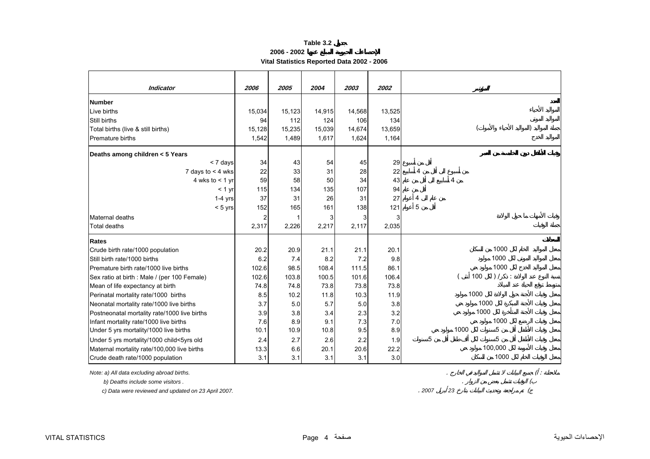**2006 - 2002**

**Vital Statistics Reported Data 2002 - 2006** 

<span id="page-3-0"></span>

| <b>Indicator</b>                             | 2006           | 2005   | 2004   | 2003   | 2002   |   |      |                        |                        |
|----------------------------------------------|----------------|--------|--------|--------|--------|---|------|------------------------|------------------------|
| <b>Number</b>                                |                |        |        |        |        |   |      |                        |                        |
| Live births                                  | 15,034         | 15,123 | 14,915 | 14,568 | 13,525 |   |      |                        |                        |
| Still births                                 | 94             | 112    | 124    | 106    | 134    |   |      |                        |                        |
| Total births (live & still births)           | 15,128         | 15,235 | 15,039 | 14,674 | 13,659 |   |      |                        |                        |
| <b>Premature births</b>                      | 1,542          | 1,489  | 1,617  | 1,624  | 1,164  |   |      |                        |                        |
| Deaths among children < 5 Years              |                |        |        |        |        |   |      |                        |                        |
| < 7 days                                     | 34             | 43     | 54     | 45     | 29     |   |      |                        |                        |
| 7 days to $<$ 4 wks                          | 22             | 33     | 31     | 28     | 22     | 4 |      |                        |                        |
| 4 wks to $<$ 1 yr                            | 59             | 58     | 50     | 34     | 43     |   | 4    |                        |                        |
| < 1 yr                                       | 115            | 134    | 135    | 107    | 94     |   |      |                        |                        |
| $1-4$ yrs                                    | 37             | 31     | 26     | 31     | 27     | 4 |      |                        |                        |
| $< 5$ yrs                                    | 152            | 165    | 161    | 138    | 121    | 5 |      |                        |                        |
| Maternal deaths                              | $\overline{2}$ | 1      | 3      | 3      | 3      |   |      |                        |                        |
| <b>Total deaths</b>                          | 2,317          | 2,226  | 2,217  | 2,117  | 2,035  |   |      |                        |                        |
| <b>Rates</b>                                 |                |        |        |        |        |   |      |                        |                        |
| Crude birth rate/1000 population             | 20.2           | 20.9   | 21.1   | 21.1   | 20.1   |   |      | 1000                   |                        |
| Still birth rate/1000 births                 | 6.2            | 7.4    | 8.2    | 7.2    | 9.8    |   |      | 1000                   |                        |
| Premature birth rate/1000 live births        | 102.6          | 98.5   | 108.4  | 111.5  | 86.1   |   |      | 1000                   |                        |
| Sex ratio at birth : Male / (per 100 Female) | 102.6          | 103.8  | 100.5  | 101.6  | 106.4  |   |      | 100<br>) /<br>$\sim$ 1 |                        |
| Mean of life expectancy at birth             | 74.8           | 74.8   | 73.8   | 73.8   | 73.8   |   |      |                        |                        |
| Perinatal mortality rate/1000 births         | 8.5            | 10.2   | 11.8   | 10.3   | 11.9   |   | 1000 |                        |                        |
| Neonatal mortality rate/1000 live births     | 3.7            | 5.0    | 5.7    | 5.0    | 3.8    |   |      | 1000                   |                        |
| Postneonatal mortality rate/1000 live births | 3.9            | 3.8    | 3.4    | 2.3    | 3.2    |   |      | 1000                   |                        |
| Infant mortality rate/1000 live births       | 7.6            | 8.9    | 9.1    | 7.3    | 7.0    |   |      | 1000                   |                        |
| Under 5 yrs mortality/1000 live births       | 10.1           | 10.9   | 10.8   | 9.5    | 8.9    |   | 1000 | 5                      |                        |
| Under 5 yrs mortality/1000 child<5yrs old    | 2.4            | 2.7    | 2.6    | 2.2    | 1.9    | 5 |      | 5                      |                        |
| Maternal mortality rate/100,000 live births  | 13.3           | 6.6    | 20.1   | 20.6   | 22.2   |   |      | 100,000                |                        |
| Crude death rate/1000 population             | 3.1            | 3.1    | 3.1    | 3.1    | 3.0    |   |      | 1000                   |                        |
| Note: a) All data excluding abroad births.   |                |        |        |        |        |   |      |                        | $\left( \cdot \right)$ |
| b) Deaths include some visitors.             |                |        |        |        |        |   |      |                        |                        |

 *c) Data were reviewed and updated on 23 April 2007.* . *<sup>2007</sup> <sup>23</sup>* (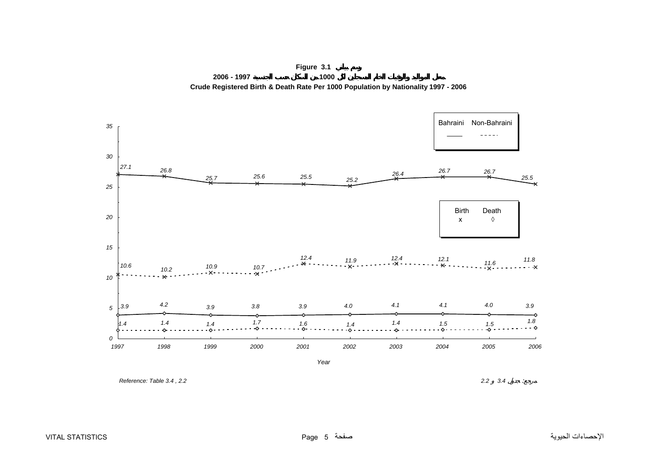<span id="page-4-0"></span>

**Figure 3.1 2006 - 1997 1000 Crude Registered Birth & Death Rate Per 1000 Population by Nationality 1997 - 2006**

 *Reference: Table 3.4 , 2.2 2.2 3.4* :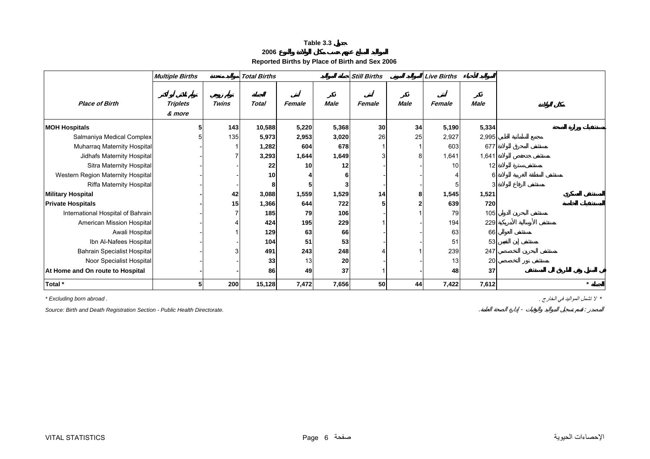| 2006 |
|------|
|------|

**Reported Births by Place of Birth and Sex 2006** 

<span id="page-5-0"></span>

|                                    | <b>Multiple Births</b>    |              | <b>Total Births</b> |                 |             | <b>Still Births</b> |             | <b>Live Births</b> |             |         |
|------------------------------------|---------------------------|--------------|---------------------|-----------------|-------------|---------------------|-------------|--------------------|-------------|---------|
| <b>Place of Birth</b>              | <b>Triplets</b><br>& more | <b>Twins</b> | <b>Total</b>        | Female          | <b>Male</b> | Female              | <b>Male</b> | Female             | <b>Male</b> |         |
| <b>MOH Hospitals</b>               |                           | 143          | 10,588              | 5,220           | 5,368       | 30                  | 34          | 5,190              | 5,334       |         |
| Salmaniya Medical Complex          |                           | 135          | 5,973               | 2,953           | 3,020       | 26                  | 25          | 2,927              | 2,995       |         |
| Muharraq Maternity Hospital        |                           |              | 1,282               | 604             | 678         |                     |             | 603                | 677         |         |
| Jidhafs Maternity Hospital         |                           |              | 3,293               | 1,644           | 1,649       |                     | 8           | 1,641              | 1,641       |         |
| Sitra Maternity Hospital           |                           |              | 22                  | 10 <sup>1</sup> | 12          |                     |             | 10                 | 12          |         |
| Western Region Maternity Hospital  |                           |              | 10                  |                 |             |                     |             |                    | 6           |         |
| <b>Riffa Maternity Hospital</b>    |                           |              | 8                   | 5               |             |                     |             |                    |             |         |
| <b>Military Hospital</b>           |                           | 42           | 3,088               | 1,559           | 1,529       | 14                  | 8           | 1,545              | 1,521       |         |
| <b>Private Hospitals</b>           |                           | 15           | 1,366               | 644             | 722         |                     |             | 639                | 720         |         |
| International Hospital of Bahrain  |                           |              | 185                 | 79              | 106         |                     |             | 79                 | 105         |         |
| American Mission Hospital          |                           |              | 424                 | 195             | 229         |                     |             | 194                | 229         |         |
| Awali Hospital                     |                           |              | 129                 | 63              | 66          |                     |             | 63                 | 66          |         |
| Ibn Al-Nafees Hospital             |                           |              | 104                 | 51              | 53          |                     |             | 51                 | 53          |         |
| <b>Bahrain Specialist Hospital</b> |                           |              | 491                 | 243             | 248         |                     |             | 239                | 247         |         |
| Noor Specialist Hospital           |                           |              | 33                  | 13              | 20          |                     |             | 13                 | 20          |         |
| At Home and On route to Hospital   |                           |              | 86                  | 49              | 37          |                     |             | 48                 | 37          |         |
| Total *                            |                           | 200          | 15,128              | 7,472           | 7,656       | 50 <sub>1</sub>     | 44          | 7,422              | 7,612       | $\star$ |

*Source: Birth and Death Registration Section - Public Health Directorate.* . - :

*\** لا تشمل المواليد في الخارج . *. abroad born Excluding\**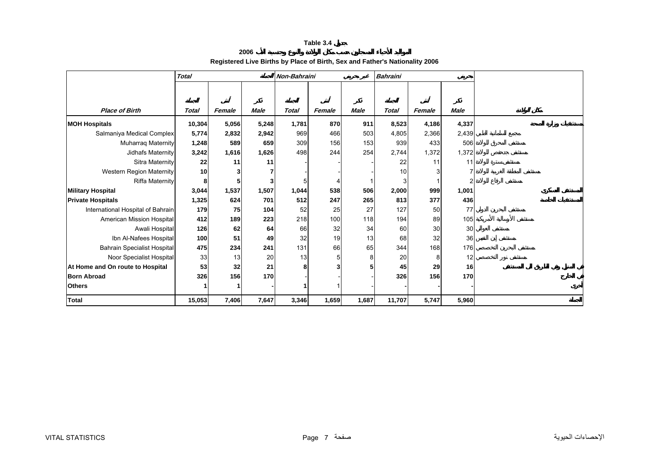#### **2006 Registered Live Births by Place of Birth, Sex and Father's Nationality 2006**

<span id="page-6-0"></span>

|                                    | <b>Total</b> | Non-Bahraini |             |              |        |             | <b>Bahraini</b> |        |             |
|------------------------------------|--------------|--------------|-------------|--------------|--------|-------------|-----------------|--------|-------------|
|                                    |              |              |             |              |        |             |                 |        |             |
|                                    |              |              |             |              |        |             |                 |        |             |
| <b>Place of Birth</b>              | Total        | Female       | <b>Male</b> | <b>Total</b> | Female | <b>Male</b> | <b>Total</b>    | Female | <b>Male</b> |
| <b>MOH Hospitals</b>               | 10,304       | 5,056        | 5,248       | 1,781        | 870    | 911         | 8,523           | 4,186  | 4,337       |
| Salmaniya Medical Complex          | 5,774        | 2,832        | 2,942       | 969          | 466    | 503         | 4,805           | 2,366  | 2,439       |
| <b>Muharrag Maternity</b>          | 1,248        | 589          | 659         | 309          | 156    | 153         | 939             | 433    | 506         |
| Jidhafs Maternity                  | 3,242        | 1,616        | 1,626       | 498          | 244    | 254         | 2,744           | 1,372  | 1,372       |
| Sitra Maternity                    | 22           | 11           | 11          |              |        |             | 22              | 11     | 11          |
| Western Region Maternity           | 10           | 3            |             |              |        |             | 10              |        |             |
| <b>Riffa Maternity</b>             |              | 5            |             |              |        |             |                 |        |             |
| <b>Military Hospital</b>           | 3,044        | 1,537        | 1,507       | 1,044        | 538    | 506         | 2,000           | 999    | 1,001       |
| <b>Private Hospitals</b>           | 1,325        | 624          | 701         | 512          | 247    | 265         | 813             | 377    | 436         |
| International Hospital of Bahrain  | 179          | 75           | 104         | 52           | 25     | 27          | 127             | 50     | 77          |
| American Mission Hospital          | 412          | 189          | 223         | 218          | 100    | 118         | 194             | 89     | 105         |
| Awali Hospital                     | 126          | 62           | 64          | 66           | 32     | 34          | 60              | 30     | 30          |
| Ibn Al-Nafees Hospital             | 100          | 51           | 49          | 32           | 19     | 13          | 68              | 32     | 36          |
| <b>Bahrain Specialist Hospital</b> | 475          | 234          | 241         | 131          | 66     | 65          | 344             | 168    | 176         |
| Noor Specialist Hospital           | 33           | 13           | 20          | 13           |        | 8           | 20              |        | 12          |
| At Home and On route to Hospital   | 53           | 32           | 21          | 8            |        |             | 45              | 29     | 16          |
| <b>Born Abroad</b>                 | 326          | 156          | 170         |              |        |             | 326             | 156    | 170         |
| <b>Others</b>                      |              |              |             |              |        |             |                 |        |             |
| <b>Total</b>                       | 15,053       | 7,406        | 7,647       | 3,346        | 1,659  | 1,687       | 11,707          | 5,747  | 5,960       |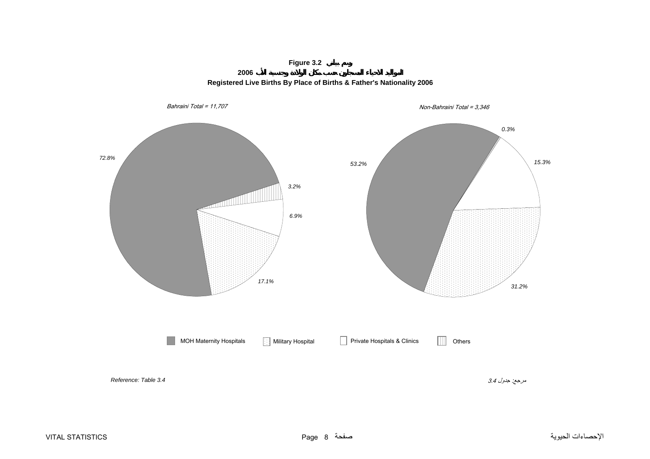## **Figure 3.2**





<span id="page-7-0"></span>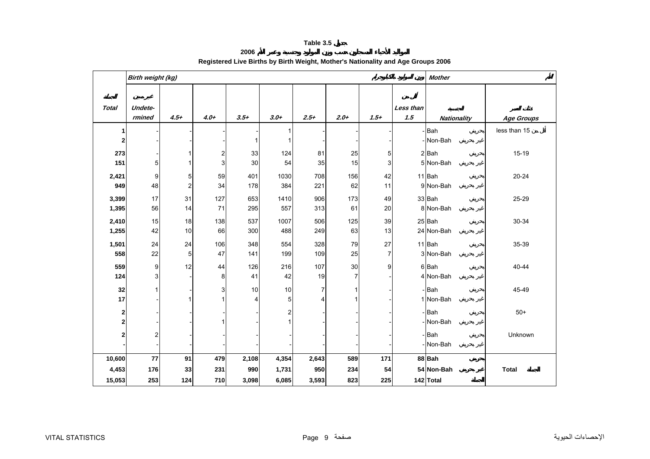**2006**

<span id="page-8-0"></span>

|              | Birth weight (kg) |                |                         |              |                |                |                |                |                  | <b>Mother</b>      |                   |  |  |
|--------------|-------------------|----------------|-------------------------|--------------|----------------|----------------|----------------|----------------|------------------|--------------------|-------------------|--|--|
| <b>Total</b> | Undete-<br>rmined | $4.5+$         | $4.0+$                  | $3.5+$       | $3.0+$         | $2.5+$         | $2.0+$         | $1.5 +$        | Less than<br>1.5 | <b>Nationality</b> | <b>Age Groups</b> |  |  |
| 1            |                   |                |                         |              | 1              |                |                |                |                  | - Bah              | less than 15      |  |  |
| 2            |                   |                |                         | $\mathbf{1}$ |                |                |                |                |                  | - Non-Bah          |                   |  |  |
| 273          |                   |                | $\overline{\mathbf{c}}$ | 33           | 124            | 81             | 25             | 5              |                  | $2$ $Bah$          | $15 - 19$         |  |  |
| 151          | 5 <sub>l</sub>    |                | 3                       | 30           | 54             | 35             | 15             | 3              |                  | 5 Non-Bah          |                   |  |  |
| 2,421        | 9                 | 5              | 59                      | 401          | 1030           | 708            | 156            | 42             |                  | 11 Bah             | $20 - 24$         |  |  |
| 949          | 48                | $\overline{c}$ | 34                      | 178          | 384            | 221            | 62             | 11             |                  | 9 Non-Bah          |                   |  |  |
| 3,399        | 17                | 31             | 127                     | 653          | 1410           | 906            | 173            | 49             |                  | 33 Bah             | 25-29             |  |  |
| 1,395        | 56                | 14             | 71                      | 295          | 557            | 313            | 61             | 20             |                  | 8 Non-Bah          |                   |  |  |
| 2,410        | 15                | 18             | 138                     | 537          | 1007           | 506            | 125            | 39             |                  | 25 Bah             | 30-34             |  |  |
| 1,255        | 42                | 10             | 66                      | 300          | 488            | 249            | 63             | 13             |                  | 24 Non-Bah         |                   |  |  |
| 1,501        | 24                | 24             | 106                     | 348          | 554            | 328            | 79             | 27             |                  | 11 Bah             | 35-39             |  |  |
| 558          | 22                | 5              | 47                      | 141          | 199            | 109            | 25             | $\overline{7}$ |                  | 3 Non-Bah          |                   |  |  |
| 559          | 9                 | 12             | 44                      | 126          | 216            | 107            | 30             | 9              |                  | 6 Bah              | 40-44             |  |  |
| 124          | $\overline{3}$    |                | 8                       | 41           | 42             | 19             | $\overline{7}$ |                |                  | 4 Non-Bah          |                   |  |  |
| 32           |                   |                | 3                       | 10           | 10             | $\overline{7}$ | 1              |                |                  | - Bah              | 45-49             |  |  |
| 17           |                   |                | 1                       | 4            | 5              | $\overline{4}$ | 1              |                |                  | 1 Non-Bah          |                   |  |  |
| 2            |                   |                |                         |              | $\overline{2}$ |                |                |                |                  | -Bah               | $50+$             |  |  |
| 2            |                   |                | 1                       |              | 1              |                |                |                |                  | -INon-Bah          |                   |  |  |
| 2            | 2                 |                |                         |              |                |                |                |                |                  | -Bah               | Unknown           |  |  |
|              |                   |                |                         |              |                |                |                |                |                  | - Non-Bah          |                   |  |  |
| 10,600       | 77                | 91             | 479                     | 2,108        | 4,354          | 2,643          | 589            | 171            |                  | 88 Bah             |                   |  |  |
| 4,453        | 176               | 33             | 231                     | 990          | 1,731          | 950            | 234            | 54             |                  | 54 Non-Bah         | <b>Total</b>      |  |  |
| 15,053       | 253               | 124            | 710                     | 3,098        | 6,085          | 3,593          | 823            | 225            |                  | 142 Total          |                   |  |  |

## **Registered Live Births by Birth Weight, Mother's Nationality and Age Groups 2006**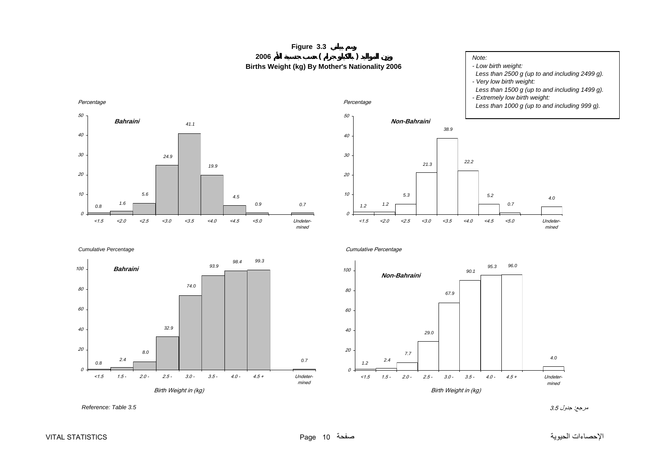<span id="page-9-0"></span>



#### *Note:*

*- Low birth weight:*

- *Less than 2500 g (up to and including 2499 g).*
- *Very low birth weight:*
- *Less than 1500 g (up to and including 1499 g).*
- *Extremely low birth weight:*
- *Less than 1000 g (up to and including 999 g).*





Cumulative Percentage



مرجع: جدول 3.5 *3.5 Table :Reference*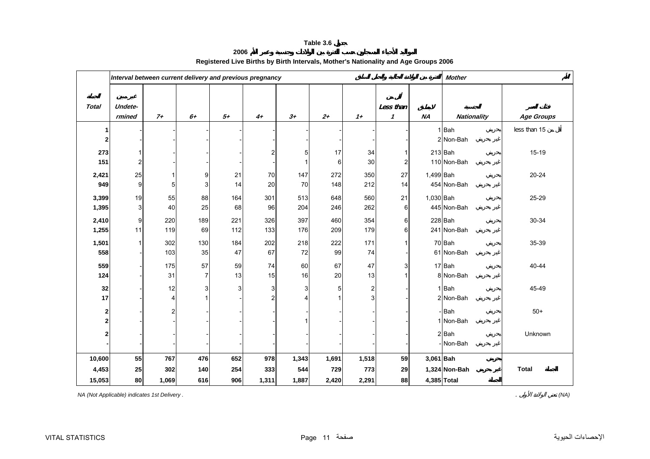**2006**

<span id="page-10-0"></span>

|                  | Interval between current delivery and previous pregnancy |                |                |      |                |       |       |                  |                                  |           | <b>Mother</b>      |              |  |  |
|------------------|----------------------------------------------------------|----------------|----------------|------|----------------|-------|-------|------------------|----------------------------------|-----------|--------------------|--------------|--|--|
| <b>Total</b>     | Undete-<br>rmined                                        | $7+$           | $6+$           | $5+$ | $4+$           | $3+$  | $2+$  | $1+$             | Less than<br>$\boldsymbol{\eta}$ | <b>NA</b> | <b>Nationality</b> | Age Groups   |  |  |
| 1                |                                                          |                |                |      |                |       |       |                  |                                  |           | 1 Bah              | less than 15 |  |  |
| $\mathbf{2}$     |                                                          |                |                |      |                |       |       |                  |                                  |           | 2 Non-Bah          |              |  |  |
| 273              |                                                          |                |                |      | $\overline{2}$ | 5     | 17    | 34               |                                  |           | $213$ Bah          | $15 - 19$    |  |  |
| 151              | $\overline{2}$                                           |                |                |      |                |       | 6     | 30               | 2                                |           | 110 Non-Bah        |              |  |  |
| 2,421            | 25                                                       |                | 9              | 21   | 70             | 147   | 272   | 350              | 27                               | 1,499 Bah |                    | 20-24        |  |  |
| 949              | 9                                                        | 5              | 3              | 14   | 20             | 70    | 148   | 212              | 14                               |           | 454 Non-Bah        |              |  |  |
| 3,399            | 19                                                       | 55             | 88             | 164  | 301            | 513   | 648   | 560              | 21                               | 1,030 Bah |                    | 25-29        |  |  |
| 1,395            | 3                                                        | 40             | 25             | 68   | 96             | 204   | 246   | 262              | 6                                |           | 445 Non-Bah        |              |  |  |
| 2,410            | $\boldsymbol{9}$                                         | 220            | 189            | 221  | 326            | 397   | 460   | 354              | 6                                |           | 228 Bah            | 30-34        |  |  |
| 1,255            | 11                                                       | 119            | 69             | 112  | 133            | 176   | 209   | 179              | 6                                |           | 241 Non-Bah        |              |  |  |
| 1,501            |                                                          | 302            | 130            | 184  | 202            | 218   | 222   | 171              |                                  |           | 70 Bah             | 35-39        |  |  |
| 558              |                                                          | 103            | 35             | 47   | 67             | 72    | 99    | 74               |                                  |           | 61 Non-Bah         |              |  |  |
| 559              |                                                          | 175            | 57             | 59   | 74             | 60    | 67    | 47               | 3                                |           | 17 Bah             | 40-44        |  |  |
| 124              |                                                          | 31             | $\overline{7}$ | 13   | 15             | 16    | 20    | 13               |                                  |           | 8 Non-Bah          |              |  |  |
| 32               |                                                          | 12             | 3              | 3    | 3              | 3     | 5     | $\boldsymbol{2}$ |                                  |           | $1$ Bah            | 45-49        |  |  |
| 17               |                                                          | $\overline{4}$ |                |      | 2              |       |       | 3                |                                  |           | 2 Non-Bah          |              |  |  |
| $\boldsymbol{2}$ |                                                          | $\overline{2}$ |                |      |                |       |       |                  |                                  |           | - Bah              | $50+$        |  |  |
| $\bf{2}$         |                                                          |                |                |      |                |       |       |                  |                                  |           | 1 Non-Bah          |              |  |  |
| $\mathbf{2}$     |                                                          |                |                |      |                |       |       |                  |                                  |           | $2$ Bah            | Unknown      |  |  |
|                  |                                                          |                |                |      |                |       |       |                  |                                  |           | Non-Bah            |              |  |  |
| 10,600           | 55                                                       | 767            | 476            | 652  | 978            | 1,343 | 1,691 | 1,518            | 59                               | 3,061 Bah |                    |              |  |  |
| 4,453            | 25                                                       | 302            | 140            | 254  | 333            | 544   | 729   | 773              | 29                               |           | 1,324 Non-Bah      | <b>Total</b> |  |  |
| 15,053           | 80                                                       | 1,069          | 616            | 906  | 1,311          | 1,887 | 2,420 | 2,291            | 88                               |           | 4,385 Total        |              |  |  |

## **Registered Live Births by Birth Intervals, Mother's Nationality and Age Groups 2006**

*NA (Not Applicable) indicates 1st Delivery .* . *(NA)*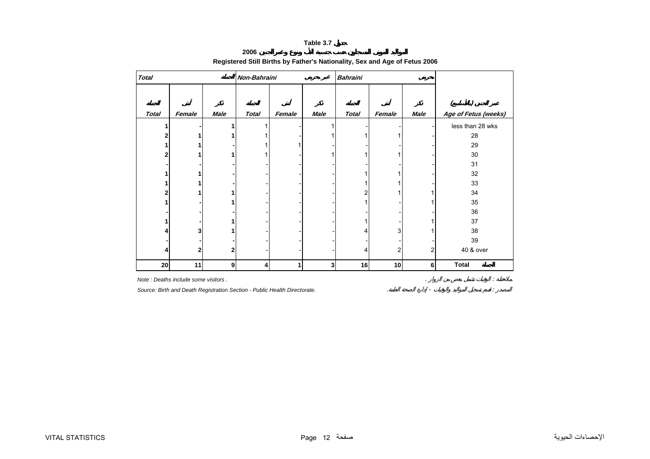**2006**

#### <span id="page-11-0"></span>**Total Non-Bahraini Bahraini ( ) Total Female Male Total Female Male Total Female Male Age of Fetus (weeks) 1 -1** 1 - 1 - - - less than 28 wks 2 1 1 1 1 - 1 1 1 1 - 28 **11 -**-1 -1 -1 -1 -1 -1 -1 -1 -1 -29 2 1 1 1 1 - 1 1 1 1 - 30 **---** - - - - - - 31**11 -**- - - - - - - 1 - 1 - 32 32 **11 -**- - - - - - - 1 - 1 - 33  $2$  1 1 1 - - - - - 2 1 1 1 34 **1 -1**1 - - - - - 1 - 1 - 1 35 **---**- - - - - - - - - - - - - - - - 36 36 **1 -1**1 - - - - - 1 - 1 1 37 **4 3** 1 1 - - - - - 4 3 1 38 **---**- - - - - - - - - - - - - - - - 39 **422**2  $4$   $2$   $2$   $40\&over$ **20 11 9 4 1 3 16 10 6Total**

### **Registered Still Births by Father's Nationality, Sex and Age of Fetus 2006**

*Note : Deaths include some visitors .* . : *Source: Birth and Death Registration Section - Public Health Directorate.* . - :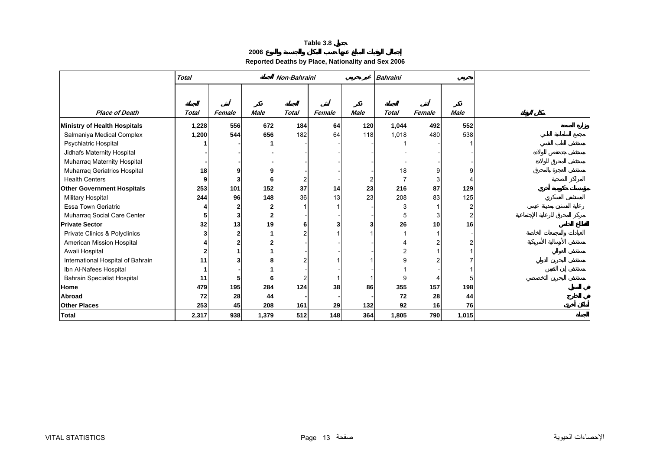### **2006**

## **Reported Deaths by Place, Nationality and Sex 2006**

<span id="page-12-0"></span>

|                                    | <b>Total</b> |        |                | Non-Bahraini   |        |             | <b>Bahraini</b> |                 |             |
|------------------------------------|--------------|--------|----------------|----------------|--------|-------------|-----------------|-----------------|-------------|
|                                    |              |        |                |                |        |             |                 |                 |             |
|                                    |              |        |                |                |        |             |                 |                 |             |
| <b>Place of Death</b>              | <b>Total</b> | Female | <b>Male</b>    | <b>Total</b>   | Female | <b>Male</b> | <b>Total</b>    | Female          | <b>Male</b> |
| Ministry of Health Hospitals       | 1,228        | 556    | 672            | 184            | 64     | 120         | 1,044           | 492             | 552         |
| Salmaniya Medical Complex          | 1,200        | 544    | 656            | 182            | 64     | 118         | 1,018           | 480             | 538         |
| Psychiatric Hospital               |              |        |                |                |        |             |                 |                 |             |
| Jidhafs Maternity Hospital         |              |        |                |                |        |             |                 |                 |             |
| Muharraq Maternity Hospital        |              |        |                |                |        |             |                 |                 |             |
| Muharraq Geriatrics Hospital       | 18           |        |                |                |        |             | 18              |                 |             |
| <b>Health Centers</b>              |              |        |                | $\overline{2}$ |        |             |                 |                 |             |
| <b>Other Government Hospitals</b>  | 253          | 101    | 152            | 37             | 14     | 23          | 216             | 87              | 129         |
| <b>Military Hospital</b>           | 244          | 96     | 148            | 36             | 13     | 23          | 208             | 83              | 125         |
| <b>Essa Town Geriatric</b>         |              |        | $\mathbf{2}$   |                |        |             |                 |                 | 2           |
| Muharraq Social Care Center        |              |        | $\overline{2}$ |                |        |             |                 |                 | 2           |
| <b>Private Sector</b>              | 32           | 13     | 19             | 6              |        |             | 26              | 10              | 16          |
| Private Clinics & Polyclinics      |              |        |                | 2              |        |             |                 |                 |             |
| American Mission Hospital          |              |        |                |                |        |             |                 |                 |             |
| Awali Hospital                     |              |        |                |                |        |             |                 |                 |             |
| International Hospital of Bahrain  | 11           |        |                | 2              |        |             |                 |                 |             |
| Ibn Al-Nafees Hospital             |              |        |                |                |        |             |                 |                 |             |
| <b>Bahrain Specialist Hospital</b> | 11           |        |                |                |        |             |                 |                 |             |
| <b>Home</b>                        | 479          | 195    | 284            | 124            | 38     | 86          | 355             | 157             | 198         |
| <b>Abroad</b>                      | 72           | 28     | 44             |                |        |             | 72              | 28              | 44          |
| <b>Other Places</b>                | 253          | 45     | 208            | 161            | 29     | 132         | 92              | 16 <sup>1</sup> | 76          |
| <b>Total</b>                       | 2,317        | 938    | 1,379          | 512            | 148    | 364         | 1,805           | 790             | 1,015       |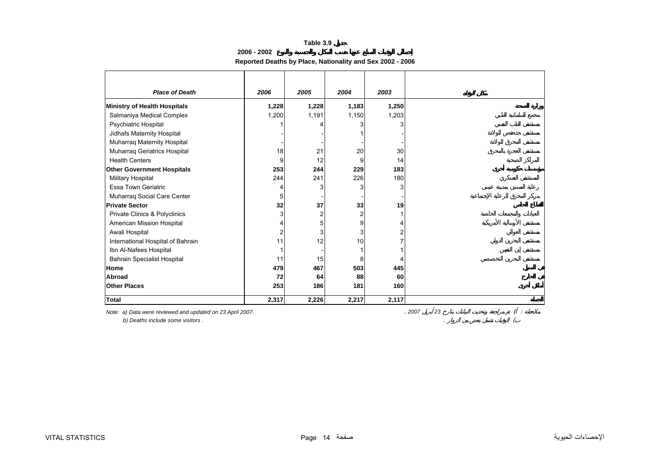**2006 - 2002**

## **Reported Deaths by Place, Nationality and Sex 2002 - 2006**

<span id="page-13-0"></span>

| <b>Place of Death</b>              | 2006  | 2005  | 2004  | 2003  |
|------------------------------------|-------|-------|-------|-------|
| Ministry of Health Hospitals       | 1,228 | 1,228 | 1,183 | 1,250 |
| Salmaniya Medical Complex          | 1,200 | 1,191 | 1,150 | 1,203 |
| Psychiatric Hospital               |       |       |       |       |
| Jidhafs Maternity Hospital         |       |       |       |       |
| Muharraq Maternity Hospital        |       |       |       |       |
| Muharraq Geriatrics Hospital       | 18    | 21    | 20    | 30    |
| <b>Health Centers</b>              | 9     | 12    | 9     | 14    |
| <b>Other Government Hospitals</b>  | 253   | 244   | 229   | 183   |
| Military Hospital                  | 244   | 241   | 226   | 180   |
| <b>Essa Town Geriatric</b>         | 4     |       |       | 3     |
| Muharraq Social Care Center        | 5     |       |       |       |
| <b>Private Sector</b>              | 32    | 37    | 33    | 19    |
| Private Clinics & Polyclinics      | 3     |       |       |       |
| American Mission Hospital          | 4     | 5     | 9     |       |
| Awali Hospital                     | 2     |       |       |       |
| International Hospital of Bahrain  | 11    | 12    | 10    |       |
| Ibn Al-Nafees Hospital             |       |       |       |       |
| <b>Bahrain Specialist Hospital</b> | 11    | 15    | 8     |       |
| Home                               | 479   | 467   | 503   | 445   |
| Abroad                             | 72    | 64    | 88    | 60    |
| <b>Other Places</b>                | 253   | 186   | 181   | 160   |
| <b>Total</b>                       | 2,317 | 2,226 | 2,217 | 2,117 |

 *b) Deaths include some visitors .* . (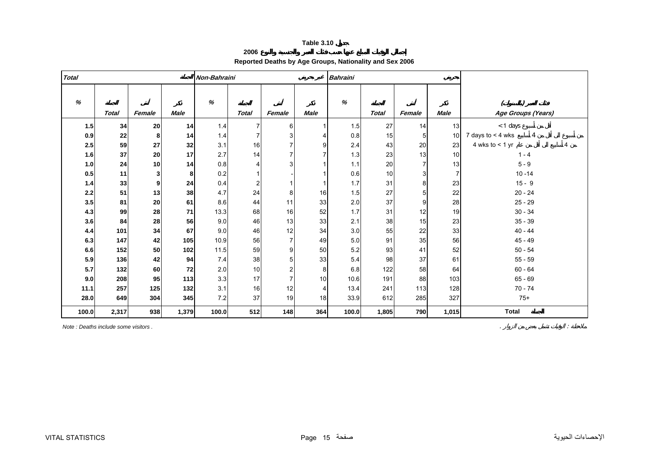**2006**

## **Reported Deaths by Age Groups, Nationality and Sex 2006**

<span id="page-14-0"></span>

| <b>Total</b> |              |        |             | Non-Bahraini |                |                |             | <b>Bahraini</b> |              |                |                 |                                     |
|--------------|--------------|--------|-------------|--------------|----------------|----------------|-------------|-----------------|--------------|----------------|-----------------|-------------------------------------|
| $\%$         | <b>Total</b> | Female | <b>Male</b> | $\%$         | <b>Total</b>   | Female         | <b>Male</b> | %               | <b>Total</b> | Female         | <b>Male</b>     | Age Groups (Years)                  |
| 1.5          | 34           | 20     | 14          | 1.4          | $\overline{7}$ | 6              |             | 1.5             | 27           | 14             | 13              | $<$ 1 days                          |
| 0.9          | 22           | 8      | 14          | 1.4          | $\overline{7}$ | 3              |             | 0.8             | 15           | 5              | 10 <sup>1</sup> | 7 days to $<$ 4 wks<br>4            |
| 2.5          | 59           | 27     | 32          | 3.1          | 16             |                |             | 2.4             | 43           | 20             | 23              | 4 wks to $<$ 1 yr<br>$\overline{4}$ |
| 1.6          | 37           | 20     | 17          | 2.7          | 14             |                |             | 1.3             | 23           | 13             | 10              | $1 - 4$                             |
| $1.0$        | 24           | 10     | 14          | 0.8          | $\overline{4}$ |                |             | 1.1             | 20           | $\overline{7}$ | 13              | $5 - 9$                             |
| 0.5          | 11           | 3      | 8           | 0.2          | $\mathbf{1}$   |                |             | 0.6             | 10           | 3              | $\overline{7}$  | $10 - 14$                           |
| 1.4          | 33           | 9      | 24          | 0.4          | $\overline{c}$ |                |             | 1.7             | 31           | 8              | 23              | $15 - 9$                            |
| 2.2          | 51           | 13     | 38          | 4.7          | 24             | 8              | 16          | 1.5             | 27           | 5              | 22              | $20 - 24$                           |
| 3.5          | 81           | 20     | 61          | 8.6          | 44             | 11             | 33          | 2.0             | 37           | 9              | 28              | $25 - 29$                           |
| 4.3          | 99           | 28     | 71          | 13.3         | 68             | 16             | 52          | 1.7             | 31           | 12             | 19              | $30 - 34$                           |
| 3.6          | 84           | 28     | 56          | 9.0          | 46             | 13             | 33          | 2.1             | 38           | 15             | 23              | $35 - 39$                           |
| 4.4          | 101          | 34     | 67          | 9.0          | 46             | 12             | 34          | 3.0             | 55           | 22             | 33              | $40 - 44$                           |
| 6.3          | 147          | 42     | 105         | 10.9         | 56             |                | 49          | 5.0             | 91           | 35             | 56              | $45 - 49$                           |
| 6.6          | 152          | 50     | 102         | 11.5         | 59             | 9              | 50          | 5.2             | 93           | 41             | 52              | $50 - 54$                           |
| 5.9          | 136          | 42     | 94          | 7.4          | 38             |                | 33          | 5.4             | 98           | 37             | 61              | $55 - 59$                           |
| 5.7          | 132          | 60     | 72          | 2.0          | 10             |                | 8           | 6.8             | 122          | 58             | 64              | $60 - 64$                           |
| 9.0          | 208          | 95     | 113         | 3.3          | 17             | $\overline{7}$ | 10          | 10.6            | 191          | 88             | 103             | $65 - 69$                           |
| 11.1         | 257          | 125    | 132         | 3.1          | 16             | 12             | 4           | 13.4            | 241          | 113            | 128             | $70 - 74$                           |
| 28.0         | 649          | 304    | 345         | 7.2          | 37             | 19             | 18          | 33.9            | 612          | 285            | 327             | $75+$                               |
| 100.0        | 2,317        | 938    | 1,379       | 100.0        | 512            | 148            | 364         | 100.0           | 1,805        | 790            | 1,015           | <b>Total</b>                        |

*Note : Deaths include some visitors .* . :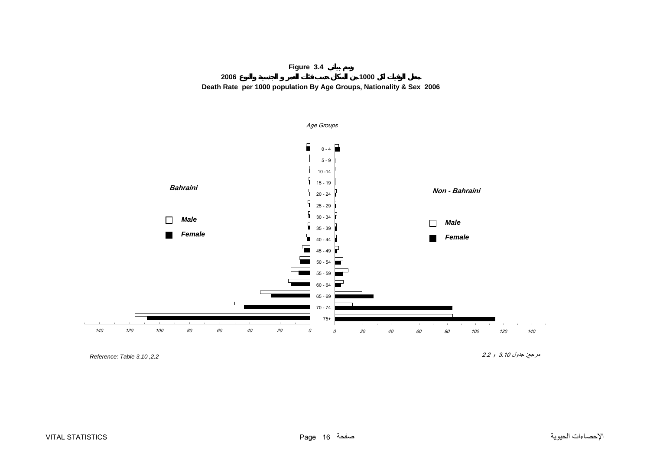

<span id="page-15-0"></span>

*,2.2 3.10 Table :Reference* 

مرجع: جدول 3.10 <sup>و</sup> 2.2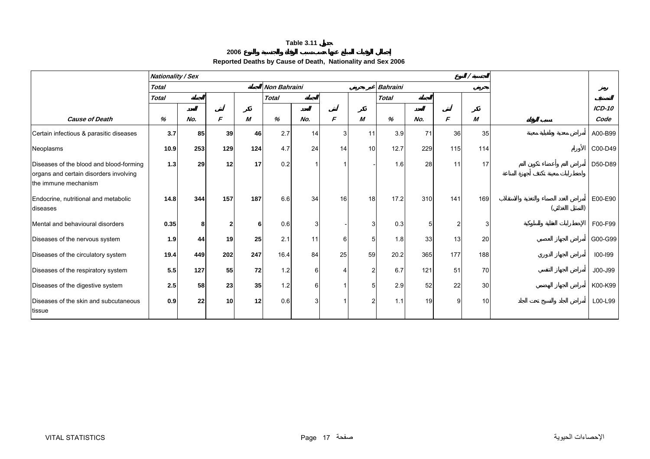#### **2006**

## **Reported Deaths by Cause of Death, Nationality and Sex 2006**

<span id="page-16-0"></span>

|                                                                | <b>Nationality / Sex</b> |     |     |     |                     |     |                |                |                 |     |     |     |          |
|----------------------------------------------------------------|--------------------------|-----|-----|-----|---------------------|-----|----------------|----------------|-----------------|-----|-----|-----|----------|
|                                                                | <b>Total</b>             |     |     |     | <b>Non Bahraini</b> |     |                |                | <b>Bahraini</b> |     |     |     |          |
|                                                                | <b>Total</b>             |     |     |     | <b>Total</b>        |     |                |                | <b>Total</b>    |     |     |     |          |
|                                                                |                          |     |     |     |                     |     |                |                |                 |     |     |     | $ICD-10$ |
| <b>Cause of Death</b>                                          | %                        | No. | F   | M   | %                   | No. | F              | M              | %               | No. | F   | M   | Code     |
| Certain infectious & parasitic diseases                        | 3.7                      | 85  | 39  | 46  | 2.7                 | 14  | $\overline{3}$ | 11             | 3.9             | 71  | 36  | 35  | A00-B99  |
| Neoplasms                                                      | 10.9                     | 253 | 129 | 124 | 4.7                 | 24  | 14             | 10             | 12.7            | 229 | 115 | 114 | C00-D49  |
| Diseases of the blood and blood-forming                        | 1.3                      | 29  | 12  | 17  | 0.2                 |     |                |                | 1.6             | 28  | 11  | 17  | D50-D89  |
| organs and certain disorders involving<br>the immune mechanism |                          |     |     |     |                     |     |                |                |                 |     |     |     |          |
|                                                                |                          |     |     |     |                     |     |                |                |                 |     |     |     |          |
| Endocrine, nutritional and metabolic                           | 14.8                     | 344 | 157 | 187 | 6.6                 | 34  | 16             | 18             | 17.2            | 310 | 141 | 169 | E00-E90  |
| diseases                                                       |                          |     |     |     |                     |     |                |                |                 |     |     |     |          |
| Mental and behavioural disorders                               | 0.35                     | 8   | 2   | 6   | 0.6                 | 3   |                | 3              | 0.3             |     |     | 3   | F00-F99  |
| Diseases of the nervous system                                 | 1.9                      | 44  | 19  | 25  | 2.1                 | 11  | $6 \mid$       | 5              | 1.8             | 33  | 13  | 20  | G00-G99  |
| Diseases of the circulatory system                             | 19.4                     | 449 | 202 | 247 | 16.4                | 84  | 25             | 59             | 20.2            | 365 | 177 | 188 | 100-199  |
| Diseases of the respiratory system                             | 5.5                      | 127 | 55  | 72  | 1.2                 | 6   |                | $\overline{2}$ | 6.7             | 121 | 51  | 70  | J00-J99  |
| Diseases of the digestive system                               | 2.5                      | 58  | 23  | 35  | 1.2                 | 6   |                | 5              | 2.9             | 52  | 22  | 30  | K00-K99  |
| Diseases of the skin and subcutaneous                          | 0.9                      | 22  | 10  | 12  | 0.6                 | 3   |                | $\overline{2}$ | 1.1             | 19  | g   | 10  | L00-L99  |
| tissue                                                         |                          |     |     |     |                     |     |                |                |                 |     |     |     |          |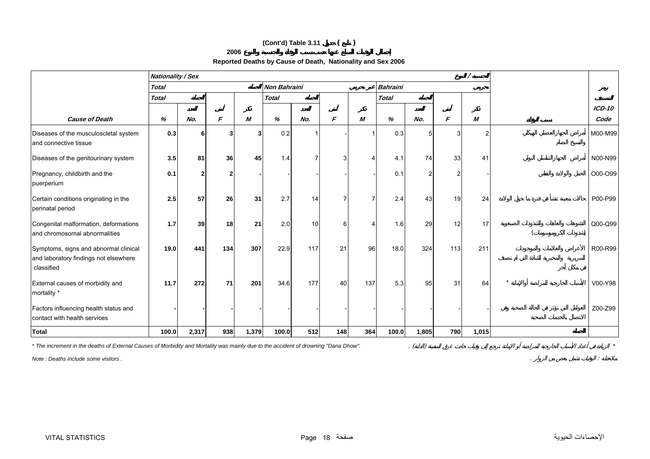## **(Cont'd) Table 3.11 ( )**

#### **2006**

## **Reported Deaths by Cause of Death, Nationality and Sex 2006**

|                                                                                              | <b>Nationality / Sex</b> |                |                         |       |              |     |                |                |                 |       |     |                |          |
|----------------------------------------------------------------------------------------------|--------------------------|----------------|-------------------------|-------|--------------|-----|----------------|----------------|-----------------|-------|-----|----------------|----------|
|                                                                                              | <b>Total</b>             |                |                         |       | Non Bahraini |     |                |                | <b>Bahraini</b> |       |     |                |          |
|                                                                                              | <b>Total</b>             |                |                         |       | <b>Total</b> |     |                |                | <b>Total</b>    |       |     |                |          |
|                                                                                              |                          |                |                         |       |              |     |                |                |                 |       |     |                | $ICD-10$ |
| <b>Cause of Death</b>                                                                        | %                        | No.            | F                       | M     | %            | No. | F              | M              | %               | No.   | F   | M              | Code     |
| Diseases of the musculoscletal system<br>and connective tissue                               | 0.3                      | 6              | $\overline{\mathbf{3}}$ | 3     | 0.2          |     |                |                | 0.3             | 5     |     | $\overline{2}$ | M00-M99  |
| Diseases of the genitourinary system                                                         | 3.5                      | 81             | 36                      | 45    | 1.4          |     | $\overline{3}$ | $\overline{4}$ | 4.1             | 74    | 33  | 41             | N00-N99  |
| Pregnancy, childbirth and the<br>puerperium                                                  | 0.1                      | $\overline{2}$ | $\overline{2}$          |       |              |     |                |                | 0.1             | 2     | っ   |                | O00-O99  |
| Certain conditions originating in the<br>perinatal period                                    | 2.5                      | 57             | 26                      | 31    | 2.7          | 14  |                | 7              | 2.4             | 43    | 19  | 24             | P00-P99  |
| Congenital malformation, deformations<br>and chromosomal abnormalities                       | 1.7                      | 39             | 18                      | 21    | 2.0          | 10  | 6              | $\overline{4}$ | 1.6             | 29    | 12  | 17             | Q00-Q99  |
| Symptoms, signs and abnormal clinical<br>and laboratory findings not elsewhere<br>classified | 19.0                     | 441            | 134                     | 307   | 22.9         | 117 | 21             | 96             | 18.0            | 324   | 113 | 211            | R00-R99  |
| External causes of morbidity and<br>mortality *                                              | 11.7                     | 272            | 71                      | 201   | 34.6         | 177 | 40             | 137            | 5.3             | 95    | 31  | 64             | V00-Y98  |
| Factors influencing health status and<br>contact with health services                        |                          |                |                         |       |              |     |                |                |                 |       |     |                | Z00-Z99  |
| <b>Total</b>                                                                                 | 100.0                    | 2,317          | 938                     | 1,379 | 100.0        | 512 | 148            | 364            | 100.0           | 1,805 | 790 | 1,015          |          |

*\* The increment in the deaths of External Causes of Morbidity and Mortality was mainly due to the accident of drowning "Dana Dhow".*

*Note : Deaths include some visitors .* . :

. ( ) *\**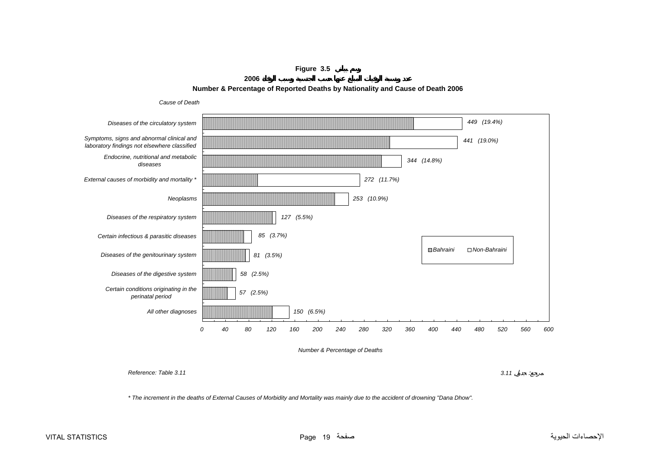**Figure 3.5**

**2006**



<span id="page-18-0"></span>

*Reference: Table 3.11*

*3.11* :

*\* The increment in the deaths of External Causes of Morbidity and Mortality was mainly due to the accident of drowning "Dana Dhow".*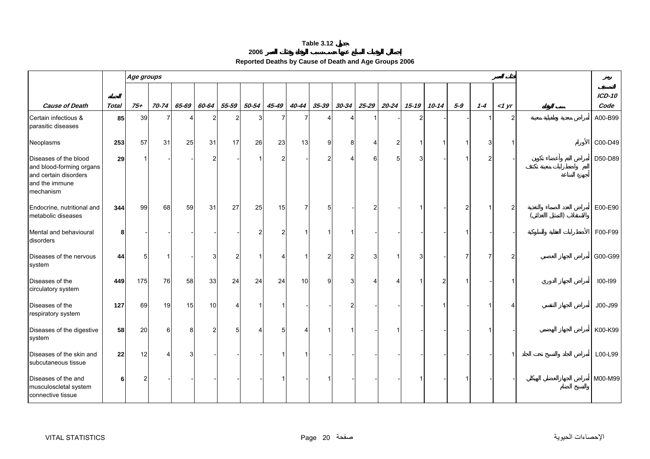#### **2006**

| Reported Deaths by Cause of Death and Age Groups 2006 |  |
|-------------------------------------------------------|--|
|                                                       |  |

<span id="page-19-0"></span>

|                                                                                                           |              | Age groups |       |                |                |                |           |               |                |                |           |                       |                |           |           |       |                |       |                |
|-----------------------------------------------------------------------------------------------------------|--------------|------------|-------|----------------|----------------|----------------|-----------|---------------|----------------|----------------|-----------|-----------------------|----------------|-----------|-----------|-------|----------------|-------|----------------|
| <b>Cause of Death</b>                                                                                     | <b>Total</b> | $75+$      | 70-74 | 65-69          | 60-64          | $55 - 59$      | $50 - 54$ | 45-49         | 40-44          | $35 - 39$      | $30 - 34$ | $25 - 29$             | $20 - 24$      | $15 - 19$ | $10 - 14$ | $5-9$ | $1 - 4$        | <1 yr | ICD-10<br>Code |
| Certain infectious &<br>parasitic diseases                                                                | 85           | 39         |       | $\overline{4}$ | 2              | $\overline{2}$ | 3         | 7             | 7              |                |           |                       |                | 2         |           |       |                | 2     | A00-B99        |
| Neoplasms                                                                                                 | 253          | 57         | 31    | 25             | 31             | 17             | 26        | 23            | 13             | 9              | 8         | 4                     | $\overline{2}$ |           |           |       | 3              |       | C00-D49        |
| Diseases of the blood<br>and blood-forming organs<br>and certain disorders<br>and the immune<br>mechanism | 29           |            |       |                | 2              |                |           | $\mathcal{P}$ |                | 2              | Δ         | 6                     | 5              | 3         |           |       | $\overline{2}$ |       | D50-D89        |
| Endocrine, nutritional and<br>metabolic diseases                                                          | 344          | 99         | 68    | 59             | 31             | 27             | 25        | 15            | $\overline{7}$ | 5              |           | $\overline{c}$        |                |           |           | 2     | -1             |       | E00-E90        |
| Mental and behavioural<br>disorders                                                                       | 8            |            |       |                |                |                |           | 2             |                |                |           |                       |                |           |           |       |                |       | F00-F99        |
| Diseases of the nervous<br>system                                                                         | 44           |            | -1    |                | 3              | $\overline{2}$ |           | Δ             |                | $\overline{2}$ | 2         | 3                     | $\mathbf 1$    | 3         |           |       | 7              | 2     | G00-G99        |
| Diseases of the<br>circulatory system                                                                     | 449          | 175        | 76    | 58             | 33             | 24             | 24        | 24            | 10             | 9              | 3         | $\boldsymbol{\Delta}$ | 4              |           |           |       |                |       | 100-199        |
| Diseases of the<br>respiratory system                                                                     | 127          | 69         | 19    | 15             | 10             | Δ              |           |               |                |                |           |                       |                |           |           |       |                |       | J00-J99        |
| Diseases of the digestive<br>system                                                                       | 58           | 20         | 6     | 8              | $\overline{2}$ | 5 <sup>1</sup> |           | 5             |                |                |           |                       | -1             |           |           |       |                |       | K00-K99        |
| Diseases of the skin and<br>subcutaneous tissue                                                           | 22           | 12         | 4     | 3              |                |                |           |               |                |                |           |                       |                |           |           |       |                |       | L00-L99        |
| Diseases of the and<br>musculoscletal system<br>connective tissue                                         | 6            |            |       |                |                |                |           |               |                |                |           |                       |                |           |           |       |                |       | M00-M99        |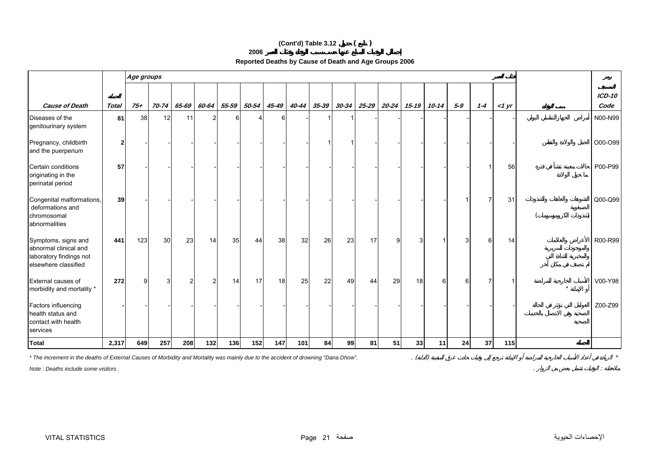## **(Cont'd) Table 3.12 ( )**

| c   |  |   |  |
|-----|--|---|--|
| 200 |  | л |  |

| Reported Deaths by Cause of Death and Age Groups 2006 |  |
|-------------------------------------------------------|--|
|-------------------------------------------------------|--|

|                                                                                                 |              | Age groups |           |                |       |        |       |       |       |           |           |           |           |           |           |       |                |       |                  |
|-------------------------------------------------------------------------------------------------|--------------|------------|-----------|----------------|-------|--------|-------|-------|-------|-----------|-----------|-----------|-----------|-----------|-----------|-------|----------------|-------|------------------|
| <b>Cause of Death</b>                                                                           | <b>Total</b> | $75 +$     | $70 - 74$ | 65-69          | 60-64 | 55-59  | 50-54 | 45-49 | 40-44 | $35 - 39$ | $30 - 34$ | $25 - 29$ | $20 - 24$ | $15 - 19$ | $10 - 14$ | $5-9$ | $1 - 4$        | <1 yr | $ICD-10$<br>Code |
| Diseases of the<br>genitourinary system                                                         | 81           | 38         | 12        | 11             | 2     | $6 \,$ |       | 6     |       |           |           |           |           |           |           |       |                |       | N00-N99          |
| Pregnancy, childbirth<br>and the puerperium                                                     | $\mathbf{2}$ |            |           |                |       |        |       |       |       |           |           |           |           |           |           |       |                |       | O00-O99          |
| Certain conditions<br>originating in the<br>perinatal period                                    | 57           |            |           |                |       |        |       |       |       |           |           |           |           |           |           |       |                | 56    | P00-P99          |
| Congenital malformations,<br>deformations and<br>chromosomal<br>abnormalities                   | 39           |            |           |                |       |        |       |       |       |           |           |           |           |           |           |       | $\overline{7}$ | 31    | Q00-Q99          |
| Symptoms, signs and<br>abnormal clinical and<br>laboratory findings not<br>elsewhere classified | 441          | 123        | 30        | 23             | 14    | 35     | 44    | 38    | 32    | 26        | 23        | 17        | 9         | 3         |           |       | 6              | 14    | R00-R99          |
| External causes of<br>morbidity and mortality *                                                 | 272          | a          | 3         | $\overline{2}$ | 2     | 14     | 17    | 18    | 25    | 22        | 49        | 44        | 29        | 18        | 6         | 6     | 7              |       | V00-Y98          |
| Factors influencing<br>health status and<br>contact with health<br>services                     |              |            |           |                |       |        |       |       |       |           |           |           |           |           |           |       |                |       | Z00-Z99          |
| <b>Total</b>                                                                                    | 2,317        | 649        | 257       | 208            | $132$ | 136    | 152   | 147   | 101   | 84        | 99        | 81        | 51        | 33        | 11        | 24    | 37             | 115   |                  |

*\* The increment in the deaths of External Causes of Morbidity and Mortality was mainly due to the accident of drowning "Dana Dhow".* . ( ) *\**

*Note : Deaths include some visitors .* . :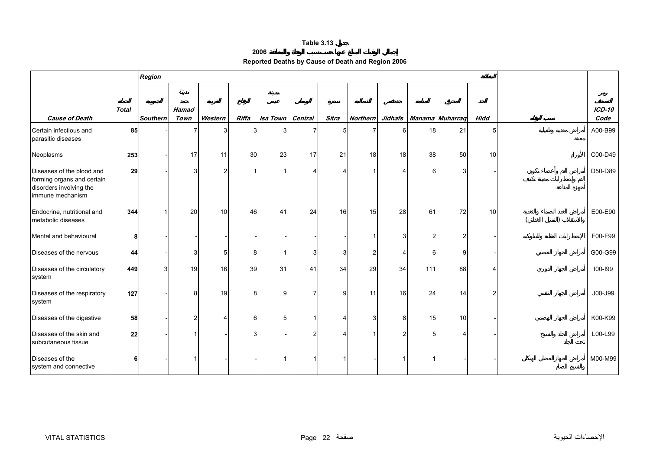**2006**

| Reported Deaths by Cause of Death and Region 2006 |  |  |  |
|---------------------------------------------------|--|--|--|
|---------------------------------------------------|--|--|--|

<span id="page-21-0"></span>

|                                                                                                        |              | <b>Region</b>   |                      |               |       |                  |                |       |                 |    |     |                             |                |                       |
|--------------------------------------------------------------------------------------------------------|--------------|-----------------|----------------------|---------------|-------|------------------|----------------|-------|-----------------|----|-----|-----------------------------|----------------|-----------------------|
|                                                                                                        |              |                 | مدينة                |               |       |                  |                |       |                 |    |     |                             |                |                       |
| <b>Cause of Death</b>                                                                                  | <b>Total</b> | <b>Southern</b> | <b>Hamad</b><br>Town | Western       | Riffa | Isa Town Central |                | Sitra | <b>Northern</b> |    |     | Jidhafs   Manama   Muharraq | <b>Hidd</b>    | <b>ICD-10</b><br>Code |
| Certain infectious and<br>parasitic diseases                                                           | 85           |                 |                      |               | 3     |                  | 7              | 5     |                 | ี  | 18  | 21                          | 5              | A00-B99               |
| Neoplasms                                                                                              | 253          |                 | 17                   | 11            | 30    | 23               | 17             | 21    | 18              | 18 | 38  | 50                          | 10             | C00-D49               |
| Diseases of the blood and<br>forming organs and certain<br>disorders involving the<br>immune mechanism | 29           |                 | 3                    | $\mathcal{P}$ |       |                  | Δ              |       |                 |    | 6   | 3                           |                | D50-D89               |
| Endocrine, nutritional and<br>metabolic diseases                                                       | 344          |                 | 20                   | 10            | 46    | 41               | 24             | 16    | 15              | 28 | 61  | 72                          | 10             | E00-E90               |
| Mental and behavioural                                                                                 | 8            |                 |                      |               |       |                  |                |       |                 |    | 2   | $\overline{2}$              |                | F00-F99               |
| Diseases of the nervous                                                                                | 44           |                 | 3                    |               | 8     |                  | 3              |       |                 |    | 6   | 9                           |                | G00-G99               |
| Diseases of the circulatory<br>system                                                                  | 449          |                 | 19                   | 16            | 39    | 31               | 41             | 34    | 29              | 34 | 111 | 88                          |                | 100-199               |
| Diseases of the respiratory<br>system                                                                  | 127          |                 | 8                    | 19            | 8     | 9                | $\overline{7}$ | 9     | 11              | 16 | 24  | 14                          | $\overline{2}$ | J00-J99               |
| Diseases of the digestive                                                                              | 58           |                 | $\mathcal{P}$        |               | 6     | 5                |                |       | 3               | 8  | 15  | 10                          |                | K00-K99               |
| Diseases of the skin and<br>subcutaneous tissue                                                        | 22           |                 |                      |               |       |                  | 2              |       |                 |    | 5   |                             |                | L00-L99               |
| Diseases of the<br>system and connective                                                               | 6            |                 |                      |               |       |                  |                |       |                 |    |     |                             |                | M00-M99               |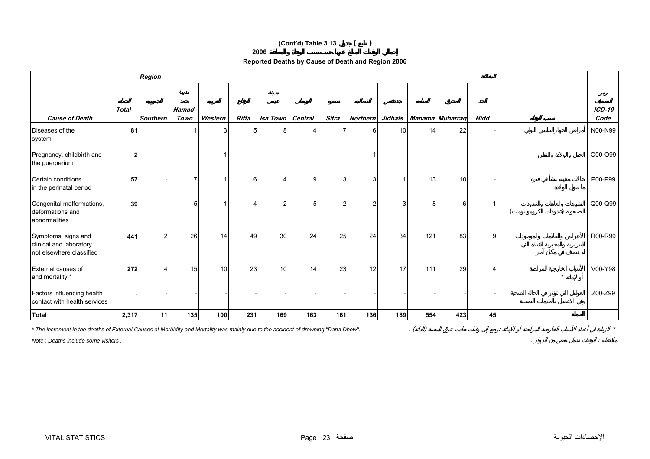## **(Cont'd) Table 3.13 ( )**

#### **2006**

## **Reported Deaths by Cause of Death and Region 2006**

|                                                                            |                | <b>Region</b>   |                      |         |              |                 |         |       |                 |     |     |                           |                |         |                  |
|----------------------------------------------------------------------------|----------------|-----------------|----------------------|---------|--------------|-----------------|---------|-------|-----------------|-----|-----|---------------------------|----------------|---------|------------------|
|                                                                            |                |                 | مدينة                |         |              |                 |         |       |                 |     |     |                           |                |         |                  |
| <b>Cause of Death</b>                                                      | <b>Total</b>   | <b>Southern</b> | <b>Hamad</b><br>Town | Western | <b>Riffa</b> | <b>Isa Town</b> | Central | Sitra | <b>Northern</b> |     |     | Jidhafs   Manama Muharraq | <b>Hidd</b>    |         | $ICD-10$<br>Code |
| Diseases of the<br>system                                                  | 81             |                 |                      | 3       |              | 8               |         |       |                 | 10  | 14  | 22                        |                |         | N00-N99          |
| Pregnancy, childbirth and<br>the puerperium                                | $\overline{2}$ |                 |                      |         |              |                 |         |       |                 |     |     |                           |                |         | O00-O99          |
| Certain conditions<br>in the perinatal period                              | 57             |                 |                      |         | 6            |                 | a       | 3     |                 |     | 13  | 10                        |                |         | P00-P99          |
| Congenital malformations,<br>deformations and<br>abnormalities             | 39             |                 |                      |         |              |                 |         | 2     |                 |     | 8   | 6                         |                |         | Q00-Q99          |
| Symptoms, signs and<br>clinical and laboratory<br>not elsewhere classified | 441            | 2               | 26                   | 14      | 49           | 30              | 24      | 25    | 24              | 34  | 121 | 83                        | 9 <sup>1</sup> |         | R00-R99          |
| External causes of<br>and mortality *                                      | 272            |                 | 15                   | 10      | 23           | 10              | 14      | 23    | 12              | 17  | 111 | 29                        |                | $\star$ | V00-Y98          |
| Factors influencing health<br>contact with health services                 |                |                 |                      |         |              |                 |         |       |                 |     |     |                           |                |         | Z00-Z99          |
| <b>Total</b>                                                               | 2,317          | 11              | 135                  | 100     | 231          | 169             | 163     | 161   | 136             | 189 | 554 | 423                       | 45             |         |                  |

*\* The increment in the deaths of External Causes of Morbidity and Mortality was mainly due to the accident of drowning "Dana Dhow".* . ( ) *\**

*Note : Deaths include some visitors .* . :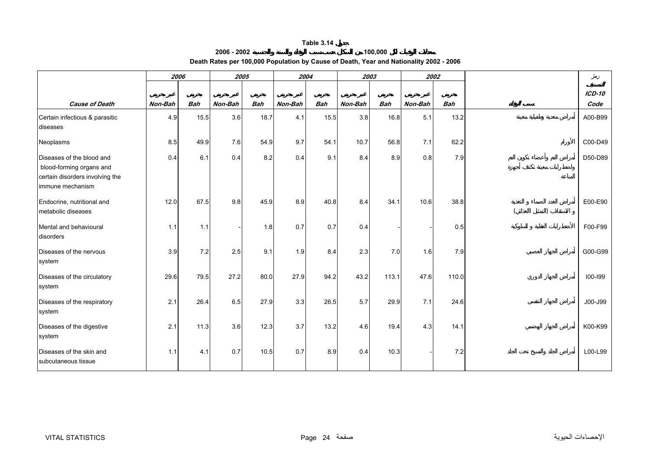#### **2006 - 2002 100,000 Death Rates per 100,000 Population by Cause of Death, Year and Nationality 2002 - 2006**

<span id="page-23-0"></span>

|                                                                                                              | 2006    |            | 2005    |            | 2004    |            |         | 2003       |         | 2002       | دمغر             |
|--------------------------------------------------------------------------------------------------------------|---------|------------|---------|------------|---------|------------|---------|------------|---------|------------|------------------|
| <b>Cause of Death</b>                                                                                        | Non-Bah | <b>Bah</b> | Non-Bah | <b>Bah</b> | Non-Bah | <b>Bah</b> | Non-Bah | <b>Bah</b> | Non-Bah | <b>Bah</b> | $ICD-10$<br>Code |
| Certain infectious & parasitic<br>diseases                                                                   | 4.9     | 15.5       | 3.6     | 18.7       | 4.1     | 15.5       | 3.8     | 16.8       | 5.1     | 13.2       | A00-B99          |
| Neoplasms                                                                                                    | 8.5     | 49.9       | 7.6     | 54.9       | 9.7     | 54.1       | 10.7    | 56.8       | 7.1     | 62.2       | C00-D49          |
| Diseases of the blood and<br>blood-forming organs and<br>certain disorders involving the<br>immune mechanism | 0.4     | 6.1        | 0.4     | 8.2        | 0.4     | 9.1        | 8.4     | 8.9        | 0.8     | 7.9        | D50-D89          |
| Endocrine, nutritional and<br>metabolic diseases                                                             | 12.0    | 67.5       | 9.8     | 45.9       | 8.9     | 40.8       | 8.4     | 34.1       | 10.6    | 38.8       | E00-E90          |
| Mental and behavioural<br>disorders                                                                          | 1.1     | 1.1        |         | 1.8        | 0.7     | 0.7        | 0.4     |            |         | 0.5        | F00-F99          |
| Diseases of the nervous<br>system                                                                            | 3.9     | 7.2        | 2.5     | 9.1        | 1.9     | 8.4        | 2.3     | 7.0        | 1.6     | 7.9        | G00-G99          |
| Diseases of the circulatory<br>system                                                                        | 29.6    | 79.5       | 27.2    | 80.0       | 27.9    | 94.2       | 43.2    | 113.1      | 47.6    | 110.0      | 100-199          |
| Diseases of the respiratory<br>system                                                                        | 2.1     | 26.4       | 6.5     | 27.9       | 3.3     | 26.5       | 5.7     | 29.9       | 7.1     | 24.6       | J00-J99          |
| Diseases of the digestive<br>system                                                                          | 2.1     | 11.3       | 3.6     | 12.3       | 3.7     | 13.2       | 4.6     | 19.4       | 4.3     | 14.1       | K00-K99          |
| Diseases of the skin and<br>subcutaneous tissue                                                              | 1.1     | 4.1        | 0.7     | 10.5       | 0.7     | 8.9        | 0.4     | 10.3       |         | 7.2        | L00-L99          |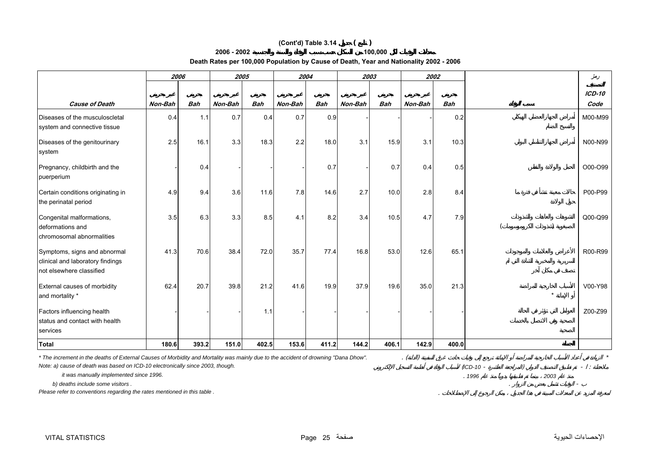## **(Cont'd) Table 3.14 ( )**

#### **2006 - 2002**

**Death Rates per 100,000 Population by Cause of Death, Year and Nationality 2002 - 2006** 

**100,000**

|                                                                                              | 2006    |            |         | 2005       | 2004    |            |         | 2003       |         | 2002       |         | دمغر             |
|----------------------------------------------------------------------------------------------|---------|------------|---------|------------|---------|------------|---------|------------|---------|------------|---------|------------------|
| <b>Cause of Death</b>                                                                        | Non-Bah | <b>Bah</b> | Non-Bah | <b>Bah</b> | Non-Bah | <b>Bah</b> | Non-Bah | <b>Bah</b> | Non-Bah | <b>Bah</b> |         | $ICD-10$<br>Code |
| Diseases of the musculoscletal<br>system and connective tissue                               | 0.4     | 1.1        | 0.7     | 0.4        | 0.7     | 0.9        |         |            |         | 0.2        |         | M00-M99          |
| Diseases of the genitourinary<br>system                                                      | 2.5     | 16.1       | 3.3     | 18.3       | 2.2     | 18.0       | 3.1     | 15.9       | 3.1     | 10.3       |         | N00-N99          |
| Pregnancy, childbirth and the<br>puerperium                                                  |         | 0.4        |         |            |         | 0.7        |         | 0.7        | 0.4     | 0.5        |         | O00-O99          |
| Certain conditions originating in<br>the perinatal period                                    | 4.9     | 9.4        | 3.6     | 11.6       | 7.8     | 14.6       | 2.7     | 10.0       | 2.8     | 8.4        |         | P00-P99          |
| Congenital malformations,<br>deformations and<br>chromosomal abnormalities                   | 3.5     | 6.3        | 3.3     | 8.5        | 4.1     | 8.2        | 3.4     | 10.5       | 4.7     | 7.9        |         | Q00-Q99          |
| Symptoms, signs and abnormal<br>clinical and laboratory findings<br>not elsewhere classified | 41.3    | 70.6       | 38.4    | 72.0       | 35.7    | 77.4       | 16.8    | 53.0       | 12.6    | 65.1       |         | R00-R99          |
| External causes of morbidity<br>and mortality *                                              | 62.4    | 20.7       | 39.8    | 21.2       | 41.6    | 19.9       | 37.9    | 19.6       | 35.0    | 21.3       | $\star$ | V00-Y98          |
| Factors influencing health<br>status and contact with health<br>services                     |         |            |         | 1.1        |         |            |         |            |         |            |         | Z00-Z99          |
| <b>Total</b>                                                                                 | 180.6   | 393.2      | 151.0   | 402.5      | 153.6   | 411.2      | 144.2   | 406.1      | 142.9   | 400.0      |         |                  |

*\* The increment in the deaths of External Causes of Morbidity and Mortality was mainly due to the accident of drowning "Dana Dhow".* . ( ) *\**

*Note: a) cause of death was based on ICD-10 electronically since 2003, though.* 

 *it was manually implemented since 1996.* .

 $b)$  deaths include some visitors.

*Please refer to conventions regarding the rates mentioned in this table .* .

) and  $\overline{z}$ 

*2003*

(*ICD-10* -

*1996*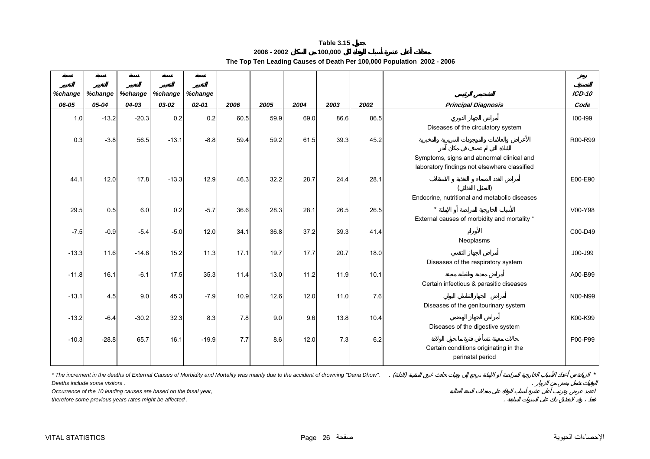|             | Table 3.15                                                             |  |
|-------------|------------------------------------------------------------------------|--|
| 2006 - 2002 | 100.000                                                                |  |
|             | The Top Ten Leading Causes of Death Per 100,000 Population 2002 - 2006 |  |

<span id="page-25-0"></span>

| %change          | %change | %change | %change | %change |      |      |      |      |      |                                                                                           | $ICD-10$    |
|------------------|---------|---------|---------|---------|------|------|------|------|------|-------------------------------------------------------------------------------------------|-------------|
| 06-05            | 05-04   | 04-03   | 03-02   | 02-01   | 2006 | 2005 | 2004 | 2003 | 2002 | <b>Principal Diagnosis</b>                                                                | Code        |
| 1.0 <sub>l</sub> | $-13.2$ | $-20.3$ | 0.2     | 0.2     | 60.5 | 59.9 | 69.0 | 86.6 | 86.5 | Diseases of the circulatory system                                                        | $100 - 199$ |
| 0.3              | $-3.8$  | 56.5    | $-13.1$ | $-8.8$  | 59.4 | 59.2 | 61.5 | 39.3 | 45.2 |                                                                                           | R00-R99     |
|                  |         |         |         |         |      |      |      |      |      | Symptoms, signs and abnormal clinical and<br>laboratory findings not elsewhere classified |             |
| 44.1             | 12.0    | 17.8    | $-13.3$ | 12.9    | 46.3 | 32.2 | 28.7 | 24.4 | 28.1 | Endocrine, nutritional and metabolic diseases                                             | E00-E90     |
| 29.5             | 0.5     | 6.0     | 0.2     | $-5.7$  | 36.6 | 28.3 | 28.1 | 26.5 | 26.5 | External causes of morbidity and mortality *                                              | V00-Y98     |
| $-7.5$           | $-0.9$  | $-5.4$  | $-5.0$  | 12.0    | 34.1 | 36.8 | 37.2 | 39.3 | 41.4 | Neoplasms                                                                                 | C00-D49     |
| $-13.3$          | 11.6    | $-14.8$ | 15.2    | 11.3    | 17.1 | 19.7 | 17.7 | 20.7 | 18.0 | Diseases of the respiratory system                                                        | J00-J99     |
| $-11.8$          | 16.1    | $-6.1$  | 17.5    | 35.3    | 11.4 | 13.0 | 11.2 | 11.9 | 10.1 | Certain infectious & parasitic diseases                                                   | A00-B99     |
| $-13.1$          | 4.5     | 9.0     | 45.3    | $-7.9$  | 10.9 | 12.6 | 12.0 | 11.0 | 7.6  | Diseases of the genitourinary system                                                      | N00-N99     |
| $-13.2$          | $-6.4$  | $-30.2$ | 32.3    | 8.3     | 7.8  | 9.0  | 9.6  | 13.8 | 10.4 | Diseases of the digestive system                                                          | K00-K99     |
| $-10.3$          | $-28.8$ | 65.7    | 16.1    | $-19.9$ | 7.7  | 8.6  | 12.0 | 7.3  | 6.2  | Certain conditions originating in the<br>perinatal period                                 | P00-P99     |

*\* The increment in the deaths of External Causes of Morbidity and Mortality was mainly due to the accident of drowning "Dana Dhow".* . ( ) *\**

*Deaths include some visitors .* .

*Occurrence of the 10 leading causes are based on the fasal year,*

*therefore some previous years rates might be affected .* .

 $\sim$   $\sim$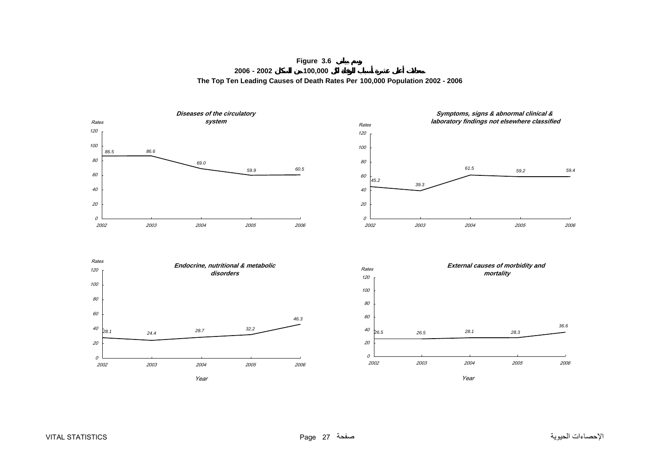**Figure 3.6 2006 - 2002 100,000 The Top Ten Leading Causes of Death Rates Per 100,000 Population 2002 - 2006**

<span id="page-26-0"></span>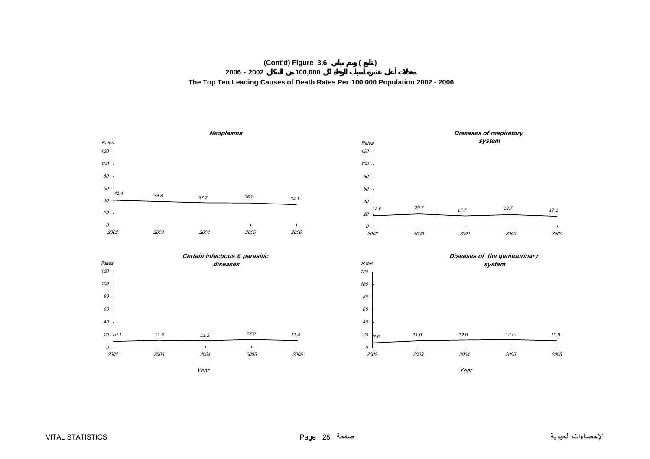## **(Cont'd) Figure 3.6 ( ) 2006 - 2002 100,000 The Top Ten Leading Causes of Death Rates Per 100,000 Population 2002 - 2006**